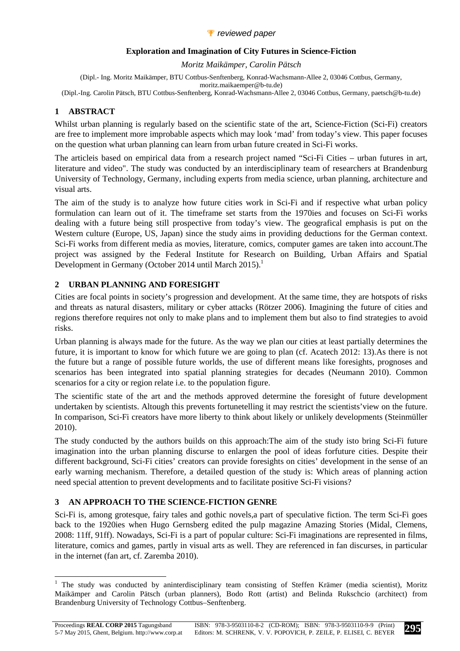#### *P* reviewed paper

#### **Exploration and Imagination of City Futures in Science-Fiction**

*Moritz Maikämper, Carolin Pätsch* 

(Dipl.- Ing. Moritz Maikämper, BTU Cottbus-Senftenberg, Konrad-Wachsmann-Allee 2, 03046 Cottbus, Germany, moritz.maikaemper@b-tu.de)

(Dipl.-Ing. Carolin Pätsch, BTU Cottbus-Senftenberg, Konrad-Wachsmann-Allee 2, 03046 Cottbus, Germany, paetsch@b-tu.de)

# **1 ABSTRACT**

Whilst urban planning is regularly based on the scientific state of the art, Science-Fiction (Sci-Fi) creators are free to implement more improbable aspects which may look 'mad' from today's view. This paper focuses on the question what urban planning can learn from urban future created in Sci-Fi works.

The articleis based on empirical data from a research project named "Sci-Fi Cities – urban futures in art, literature and video". The study was conducted by an interdisciplinary team of researchers at Brandenburg University of Technology, Germany, including experts from media science, urban planning, architecture and visual arts.

The aim of the study is to analyze how future cities work in Sci-Fi and if respective what urban policy formulation can learn out of it. The timeframe set starts from the 1970ies and focuses on Sci-Fi works dealing with a future being still prospective from today's view. The geografical emphasis is put on the Western culture (Europe, US, Japan) since the study aims in providing deductions for the German context. Sci-Fi works from different media as movies, literature, comics, computer games are taken into account.The project was assigned by the Federal Institute for Research on Building, Urban Affairs and Spatial Development in Germany (October 2014 until March 2015).<sup>1</sup>

### **2 URBAN PLANNING AND FORESIGHT**

Cities are focal points in society's progression and development. At the same time, they are hotspots of risks and threats as natural disasters, military or cyber attacks (Rötzer 2006). Imagining the future of cities and regions therefore requires not only to make plans and to implement them but also to find strategies to avoid risks.

Urban planning is always made for the future. As the way we plan our cities at least partially determines the future, it is important to know for which future we are going to plan (cf. Acatech 2012: 13).As there is not the future but a range of possible future worlds, the use of different means like foresights, prognoses and scenarios has been integrated into spatial planning strategies for decades (Neumann 2010). Common scenarios for a city or region relate i.e. to the population figure.

The scientific state of the art and the methods approved determine the foresight of future development undertaken by scientists. Altough this prevents fortunetelling it may restrict the scientists'view on the future. In comparison, Sci-Fi creators have more liberty to think about likely or unlikely developments (Steinmüller 2010).

The study conducted by the authors builds on this approach:The aim of the study isto bring Sci-Fi future imagination into the urban planning discurse to enlargen the pool of ideas forfuture cities. Despite their different background, Sci-Fi cities' creators can provide foresights on cities' development in the sense of an early warning mechanism. Therefore, a detailed question of the study is: Which areas of planning action need special attention to prevent developments and to facilitate positive Sci-Fi visions?

# **3 AN APPROACH TO THE SCIENCE-FICTION GENRE**

Sci-Fi is, among grotesque, fairy tales and gothic novels,a part of speculative fiction. The term Sci-Fi goes back to the 1920ies when Hugo Gernsberg edited the pulp magazine Amazing Stories (Midal, Clemens, 2008: 11ff, 91ff). Nowadays, Sci-Fi is a part of popular culture: Sci-Fi imaginations are represented in films, literature, comics and games, partly in visual arts as well. They are referenced in fan discurses, in particular in the internet (fan art, cf. Zaremba 2010).

<sup>&</sup>lt;sup>1</sup> The study was conducted by aninterdisciplinary team consisting of Steffen Krämer (media scientist), Moritz Maikämper and Carolin Pätsch (urban planners), Bodo Rott (artist) and Belinda Rukschcio (architect) from Brandenburg University of Technology Cottbus–Senftenberg.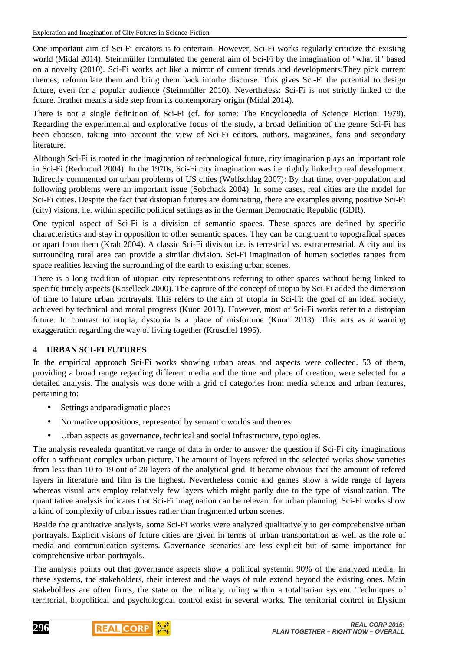One important aim of Sci-Fi creators is to entertain. However, Sci-Fi works regularly criticize the existing world (Midal 2014). Steinmüller formulated the general aim of Sci-Fi by the imagination of "what if" based on a novelty (2010). Sci-Fi works act like a mirror of current trends and developments:They pick current themes, reformulate them and bring them back intothe discurse. This gives Sci-Fi the potential to design future, even for a popular audience (Steinmüller 2010). Nevertheless: Sci-Fi is not strictly linked to the future. Itrather means a side step from its contemporary origin (Midal 2014).

There is not a single definition of Sci-Fi (cf. for some: The Encyclopedia of Science Fiction: 1979). Regarding the experimental and explorative focus of the study, a broad definition of the genre Sci-Fi has been choosen, taking into account the view of Sci-Fi editors, authors, magazines, fans and secondary literature.

Although Sci-Fi is rooted in the imagination of technological future, city imagination plays an important role in Sci-Fi (Redmond 2004). In the 1970s, Sci-Fi city imagination was i.e. tightly linked to real development. Itdirectly commented on urban problems of US cities (Wolfschlag 2007): By that time, over-population and following problems were an important issue (Sobchack 2004). In some cases, real cities are the model for Sci-Fi cities. Despite the fact that distopian futures are dominating, there are examples giving positive Sci-Fi (city) visions, i.e. within specific political settings as in the German Democratic Republic (GDR).

One typical aspect of Sci-Fi is a division of semantic spaces. These spaces are defined by specific characteristics and stay in opposition to other semantic spaces. They can be congruent to topografical spaces or apart from them (Krah 2004). A classic Sci-Fi division i.e. is terrestrial vs. extraterrestrial. A city and its surrounding rural area can provide a similar division. Sci-Fi imagination of human societies ranges from space realities leaving the surrounding of the earth to existing urban scenes.

There is a long tradition of utopian city representations referring to other spaces without being linked to specific timely aspects (Koselleck 2000). The capture of the concept of utopia by Sci-Fi added the dimension of time to future urban portrayals. This refers to the aim of utopia in Sci-Fi: the goal of an ideal society, achieved by technical and moral progress (Kuon 2013). However, most of Sci-Fi works refer to a distopian future. In contrast to utopia, dystopia is a place of misfortune (Kuon 2013). This acts as a warning exaggeration regarding the way of living together (Kruschel 1995).

# **4 URBAN SCI-FI FUTURES**

In the empirical approach Sci-Fi works showing urban areas and aspects were collected. 53 of them, providing a broad range regarding different media and the time and place of creation, were selected for a detailed analysis. The analysis was done with a grid of categories from media science and urban features, pertaining to:

- Settings andparadigmatic places
- Normative oppositions, represented by semantic worlds and themes
- Urban aspects as governance, technical and social infrastructure, typologies.

The analysis revealeda quantitative range of data in order to answer the question if Sci-Fi city imaginations offer a sufficiant complex urban picture. The amount of layers refered in the selected works show varieties from less than 10 to 19 out of 20 layers of the analytical grid. It became obvious that the amount of refered layers in literature and film is the highest. Nevertheless comic and games show a wide range of layers whereas visual arts employ relatively few layers which might partly due to the type of visualization. The quantitative analysis indicates that Sci-Fi imagination can be relevant for urban planning: Sci-Fi works show a kind of complexity of urban issues rather than fragmented urban scenes.

Beside the quantitative analysis, some Sci-Fi works were analyzed qualitatively to get comprehensive urban portrayals. Explicit visions of future cities are given in terms of urban transportation as well as the role of media and communication systems. Governance scenarios are less explicit but of same importance for comprehensive urban portrayals.

The analysis points out that governance aspects show a political systemin 90% of the analyzed media. In these systems, the stakeholders, their interest and the ways of rule extend beyond the existing ones. Main stakeholders are often firms, the state or the military, ruling within a totalitarian system. Techniques of territorial, biopolitical and psychological control exist in several works. The territorial control in Elysium

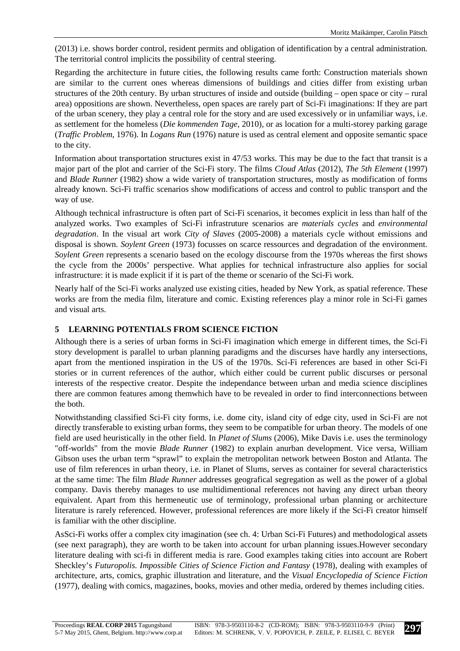(2013) i.e. shows border control, resident permits and obligation of identification by a central administration. The territorial control implicits the possibility of central steering.

Regarding the architecture in future cities, the following results came forth: Construction materials shown are similar to the current ones whereas dimensions of buildings and cities differ from existing urban structures of the 20th century. By urban structures of inside and outside (building – open space or city – rural area) oppositions are shown. Nevertheless, open spaces are rarely part of Sci-Fi imaginations: If they are part of the urban scenery, they play a central role for the story and are used excessively or in unfamiliar ways, i.e. as settlement for the homeless (*Die kommenden Tage*, 2010), or as location for a multi-storey parking garage (*Traffic Problem*, 1976). In *Logans Run* (1976) nature is used as central element and opposite semantic space to the city.

Information about transportation structures exist in 47/53 works. This may be due to the fact that transit is a major part of the plot and carrier of the Sci-Fi story. The films *Cloud Atlas* (2012), *The 5th Element* (1997) and *Blade Runner* (1982) show a wide variety of transportation structures, mostly as modification of forms already known. Sci-Fi traffic scenarios show modifications of access and control to public transport and the way of use.

Although technical infrastructure is often part of Sci-Fi scenarios, it becomes explicit in less than half of the analyzed works. Two examples of Sci-Fi infrastruture scenarios are *materials cycles* and *environmental degradation*. In the visual art work *City of Slaves* (2005-2008) a materials cycle without emissions and disposal is shown. *Soylent Green* (1973) focusses on scarce ressources and degradation of the environment. *Soylent Green* represents a scenario based on the ecology discourse from the 1970s whereas the first shows the cycle from the 2000s' perspective. What applies for technical infrastructure also applies for social infrastructure: it is made explicit if it is part of the theme or scenario of the Sci-Fi work.

Nearly half of the Sci-Fi works analyzed use existing cities, headed by New York, as spatial reference. These works are from the media film, literature and comic. Existing references play a minor role in Sci-Fi games and visual arts.

#### **5 LEARNING POTENTIALS FROM SCIENCE FICTION**

Although there is a series of urban forms in Sci-Fi imagination which emerge in different times, the Sci-Fi story development is parallel to urban planning paradigms and the discurses have hardly any intersections, apart from the mentioned inspiration in the US of the 1970s. Sci-Fi references are based in other Sci-Fi stories or in current references of the author, which either could be current public discurses or personal interests of the respective creator. Despite the independance between urban and media science disciplines there are common features among themwhich have to be revealed in order to find interconnections between the both.

Notwithstanding classified Sci-Fi city forms, i.e. dome city, island city of edge city, used in Sci-Fi are not directly transferable to existing urban forms, they seem to be compatible for urban theory. The models of one field are used heuristically in the other field. In *Planet of Slums* (2006), Mike Davis i.e. uses the terminology "off-worlds" from the movie *Blade Runner* (1982) to explain anurban development. Vice versa, William Gibson uses the urban term "sprawl" to explain the metropolitan network between Boston and Atlanta. The use of film references in urban theory, i.e. in Planet of Slums, serves as container for several characteristics at the same time: The film *Blade Runner* addresses geografical segregation as well as the power of a global company. Davis thereby manages to use multidimentional references not having any direct urban theory equivalent. Apart from this hermeneutic use of terminology, professional urban planning or architecture literature is rarely referenced. However, professional references are more likely if the Sci-Fi creator himself is familiar with the other discipline.

AsSci-Fi works offer a complex city imagination (see ch. 4: Urban Sci-Fi Futures) and methodological assets (see next paragraph), they are worth to be taken into account for urban planning issues.However secondary literature dealing with sci-fi in different media is rare. Good examples taking cities into account are Robert Sheckley's *Futuropolis. Impossible Cities of Science Fiction and Fantasy* (1978), dealing with examples of architecture, arts, comics, graphic illustration and literature, and the *Visual Encyclopedia of Science Fiction* (1977), dealing with comics, magazines, books, movies and other media, ordered by themes including cities.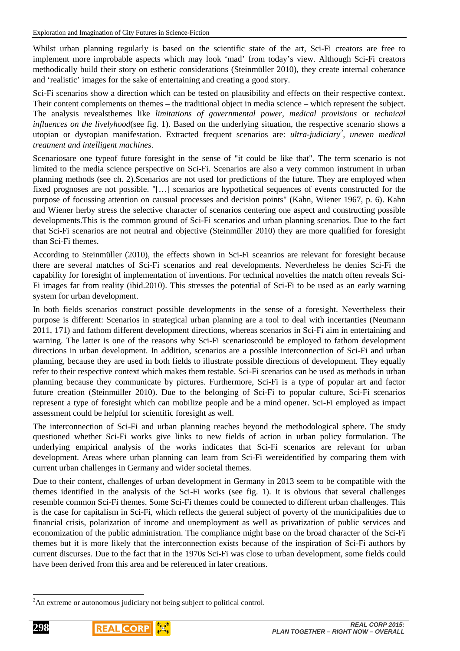Whilst urban planning regularly is based on the scientific state of the art, Sci-Fi creators are free to implement more improbable aspects which may look 'mad' from today's view. Although Sci-Fi creators methodically build their story on esthetic considerations (Steinmüller 2010), they create internal coherance and 'realistic' images for the sake of entertaining and creating a good story.

Sci-Fi scenarios show a direction which can be tested on plausibility and effects on their respective context. Their content complements on themes – the traditional object in media science – which represent the subject. The analysis revealsthemes like *limitations of governmental power*, *medical provisions* or *technical influences on the livelyhood*(see fig. 1). Based on the underlying situation, the respective scenario shows a utopian or dystopian manifestation. Extracted frequent scenarios are: *ultra-judiciary<sup>2</sup> , uneven medical treatment and intelligent machines*.

Scenariosare one typeof future foresight in the sense of "it could be like that". The term scenario is not limited to the media science perspective on Sci-Fi. Scenarios are also a very common instrument in urban planning methods (see ch. 2).Scenarios are not used for predictions of the future. They are employed when fixed prognoses are not possible. "[…] scenarios are hypothetical sequences of events constructed for the purpose of focussing attention on causual processes and decision points" (Kahn, Wiener 1967, p. 6). Kahn and Wiener herby stress the selective character of scenarios centering one aspect and constructing possible developments.This is the common ground of Sci-Fi scenarios and urban planning scenarios. Due to the fact that Sci-Fi scenarios are not neutral and objective (Steinmüller 2010) they are more qualified for foresight than Sci-Fi themes.

According to Steinmüller (2010), the effects shown in Sci-Fi sceanrios are relevant for foresight because there are several matches of Sci-Fi scenarios and real developments. Nevertheless he denies Sci-Fi the capability for foresight of implementation of inventions. For technical novelties the match often reveals Sci-Fi images far from reality (ibid.2010). This stresses the potential of Sci-Fi to be used as an early warning system for urban development.

In both fields scenarios construct possible developments in the sense of a foresight. Nevertheless their purpose is different: Scenarios in strategical urban planning are a tool to deal with incertanties (Neumann 2011, 171) and fathom different development directions, whereas scenarios in Sci-Fi aim in entertaining and warning. The latter is one of the reasons why Sci-Fi scenarioscould be employed to fathom development directions in urban development. In addition, scenarios are a possible interconnection of Sci-Fi and urban planning, because they are used in both fields to illustrate possible directions of development. They equally refer to their respective context which makes them testable. Sci-Fi scenarios can be used as methods in urban planning because they communicate by pictures. Furthermore, Sci-Fi is a type of popular art and factor future creation (Steinmüller 2010). Due to the belonging of Sci-Fi to popular culture, Sci-Fi scenarios represent a type of foresight which can mobilize people and be a mind opener. Sci-Fi employed as impact assessment could be helpful for scientific foresight as well.

The interconnection of Sci-Fi and urban planning reaches beyond the methodological sphere. The study questioned whether Sci-Fi works give links to new fields of action in urban policy formulation. The underlying empirical analysis of the works indicates that Sci-Fi scenarios are relevant for urban development. Areas where urban planning can learn from Sci-Fi wereidentified by comparing them with current urban challenges in Germany and wider societal themes.

Due to their content, challenges of urban development in Germany in 2013 seem to be compatible with the themes identified in the analysis of the Sci-Fi works (see fig. 1). It is obvious that several challenges resemble common Sci-Fi themes. Some Sci-Fi themes could be connected to different urban challenges. This is the case for capitalism in Sci-Fi, which reflects the general subject of poverty of the municipalities due to financial crisis, polarization of income and unemployment as well as privatization of public services and economization of the public administration. The compliance might base on the broad character of the Sci-Fi themes but it is more likely that the interconnection exists because of the inspiration of Sci-Fi authors by current discurses. Due to the fact that in the 1970s Sci-Fi was close to urban development, some fields could have been derived from this area and be referenced in later creations.

<sup>&</sup>lt;sup>2</sup>An extreme or autonomous judiciary not being subject to political control.



 $\overline{a}$ 

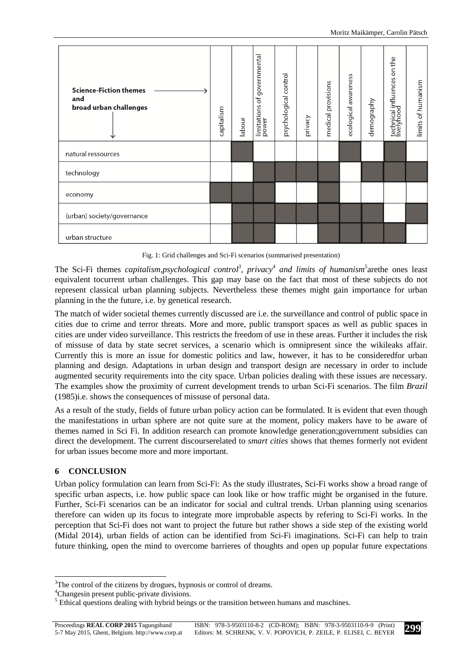

Fig. 1: Grid challenges and Sci-Fi scenarios (summarised presentation)

The Sci-Fi themes *capitalism,psychological control*<sup>3</sup>, privacy<sup>4</sup> and limits of humanism<sup>5</sup> arethe ones least equivalent tocurrent urban challenges. This gap may base on the fact that most of these subjects do not represent classical urban planning subjects. Nevertheless these themes might gain importance for urban planning in the the future, i.e. by genetical research.

The match of wider societal themes currently discussed are i.e. the surveillance and control of public space in cities due to crime and terror threats. More and more, public transport spaces as well as public spaces in cities are under video surveillance. This restricts the freedom of use in these areas. Further it includes the risk of missuse of data by state secret services, a scenario which is omnipresent since the wikileaks affair. Currently this is more an issue for domestic politics and law, however, it has to be consideredfor urban planning and design. Adaptations in urban design and transport design are necessary in order to include augmented security requirements into the city space. Urban policies dealing with these issues are necessary. The examples show the proximity of current development trends to urban Sci-Fi scenarios. The film *Brazil* (1985)i.e. shows the consequences of missuse of personal data.

As a result of the study, fields of future urban policy action can be formulated. It is evident that even though the manifestations in urban sphere are not quite sure at the moment, policy makers have to be aware of themes named in Sci Fi. In addition research can promote knowledge generation;government subsidies can direct the development. The current discourserelated to *smart cities* shows that themes formerly not evident for urban issues become more and more important.

# **6 CONCLUSION**

Urban policy formulation can learn from Sci-Fi: As the study illustrates, Sci-Fi works show a broad range of specific urban aspects, i.e. how public space can look like or how traffic might be organised in the future. Further, Sci-Fi scenarios can be an indicator for social and cultral trends. Urban planning using scenarios therefore can widen up its focus to integrate more improbable aspects by refering to Sci-Fi works. In the perception that Sci-Fi does not want to project the future but rather shows a side step of the existing world (Midal 2014), urban fields of action can be identified from Sci-Fi imaginations. Sci-Fi can help to train future thinking, open the mind to overcome barrieres of thoughts and open up popular future expectations

l <sup>3</sup>The control of the citizens by drogues, hypnosis or control of dreams.

<sup>&</sup>lt;sup>4</sup>Changesin present public-private divisions.

 $<sup>5</sup>$  Ethical questions dealing with hybrid beings or the transition between humans and maschines.</sup>